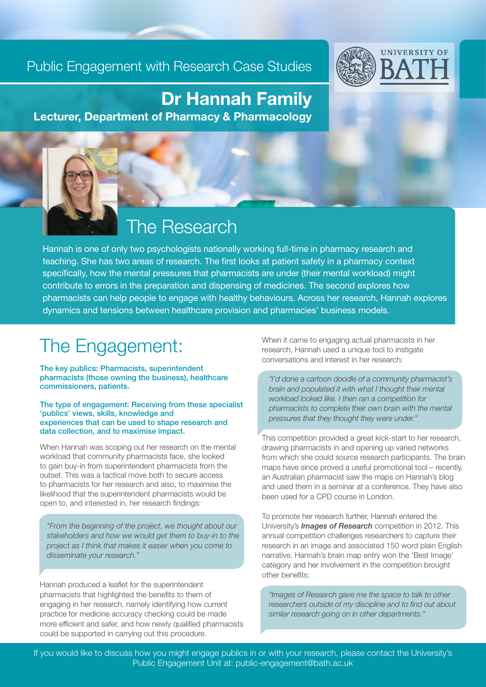#### Public Engagement with Research Case Studies



## Dr Hannah Family

Lecturer, Department of Pharmacy & Pharmacology

## The Research

Hannah is one of only two psychologists nationally working full-time in pharmacy research and teaching. She has two areas of research. The first looks at patient safety in a pharmacy context specifically, how the mental pressures that pharmacists are under (their mental workload) might contribute to errors in the preparation and dispensing of medicines. The second explores how pharmacists can help people to engage with healthy behaviours. Across her research, Hannah explores dynamics and tensions between healthcare provision and pharmacies' business models.

l

## The Engagement:

The key publics: Pharmacists, superintendent pharmacists (those owning the business), healthcare commissioners, patients.

The type of engagement: Receiving from these specialist 'publics' views, skills, knowledge and experiences that can be used to shape research and data collection, and to maximise impact.

When Hannah was scoping out her research on the mental workload that community pharmacists face, she looked to gain buy-in from superintendent pharmacists from the outset. This was a tactical move both to secure access to pharmacists for her research and also, to maximise the likelihood that the superintendent pharmacists would be open to, and interested in, her research findings:

*"From the beginning of the project, we thought about our stakeholders and how we would get them to buy-in to the project as I think that makes it easier when you come to disseminate your research."*

Hannah produced a leaflet for the superintendent pharmacists that highlighted the benefits to them of engaging in her research, namely identifying how current practice for medicine accuracy checking could be made more efficient and safer, and how newly qualified pharmacists could be supported in carrying out this procedure.

When it came to engaging actual pharmacists in her research, Hannah used a unique tool to instigate conversations and interest in her research:

*"I'd done a cartoon doodle of a community pharmacist's brain and populated it with what I thought their mental workload looked like. I then ran a competition for pharmacists to complete their own brain with the mental pressures that they thought they were under."* 

This competition provided a great kick-start to her research, drawing pharmacists in and opening up varied networks from which she could source research participants. The brain maps have since proved a useful promotional tool – recently, an Australian pharmacist saw the maps on Hannah's blog and used them in a seminar at a conference. They have also been used for a CPD course in London.

To promote her research further, Hannah entered the University's *Images of Research* competition in 2012. This annual competition challenges researchers to capture their research in an image and associated 150 word plain English narrative. Hannah's brain map entry won the 'Best Image' category and her involvement in the competition brought other benefits:

*"Images of Research gave me the space to talk to other researchers outside of my discipline and to find out about similar research going on in other departments."* 

If you would like to discuss how you might engage publics in or with your research, please contact the University's Public Engagement Unit at: public-engagement@bath.ac.uk